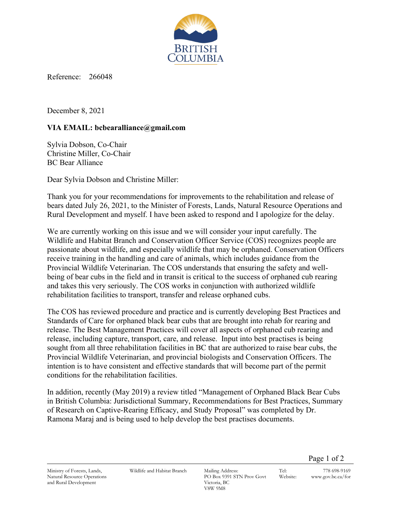

Reference: 266048

December 8, 2021

## **VIA EMAIL: bcbearalliance@gmail.com**

Sylvia Dobson, Co-Chair Christine Miller, Co-Chair BC Bear Alliance

Dear Sylvia Dobson and Christine Miller:

Thank you for your recommendations for improvements to the rehabilitation and release of bears dated July 26, 2021, to the Minister of Forests, Lands, Natural Resource Operations and Rural Development and myself. I have been asked to respond and I apologize for the delay.

We are currently working on this issue and we will consider your input carefully. The Wildlife and Habitat Branch and Conservation Officer Service (COS) recognizes people are passionate about wildlife, and especially wildlife that may be orphaned. Conservation Officers receive training in the handling and care of animals, which includes guidance from the Provincial Wildlife Veterinarian. The COS understands that ensuring the safety and wellbeing of bear cubs in the field and in transit is critical to the success of orphaned cub rearing and takes this very seriously. The COS works in conjunction with authorized wildlife rehabilitation facilities to transport, transfer and release orphaned cubs.

The COS has reviewed procedure and practice and is currently developing Best Practices and Standards of Care for orphaned black bear cubs that are brought into rehab for rearing and release. The Best Management Practices will cover all aspects of orphaned cub rearing and release, including capture, transport, care, and release. Input into best practises is being sought from all three rehabilitation facilities in BC that are authorized to raise bear cubs, the Provincial Wildlife Veterinarian, and provincial biologists and Conservation Officers. The intention is to have consistent and effective standards that will become part of the permit conditions for the rehabilitation facilities.

In addition, recently (May 2019) a review titled "Management of Orphaned Black Bear Cubs in British Columbia: Jurisdictional Summary, Recommendations for Best Practices, Summary of Research on Captive-Rearing Efficacy, and Study Proposal" was completed by Dr. Ramona Maraj and is being used to help develop the best practises documents.

Page 1 of 2

Ministry of Forests, Lands, Natural Resource Operations and Rural Development

Wildlife and Habitat Branch Mailing Address:

PO Box 9391 STN Prov Govt Victoria, BC V8W 9M8

Tel: 778 698-9169 Website: www.gov.bc.ca/for